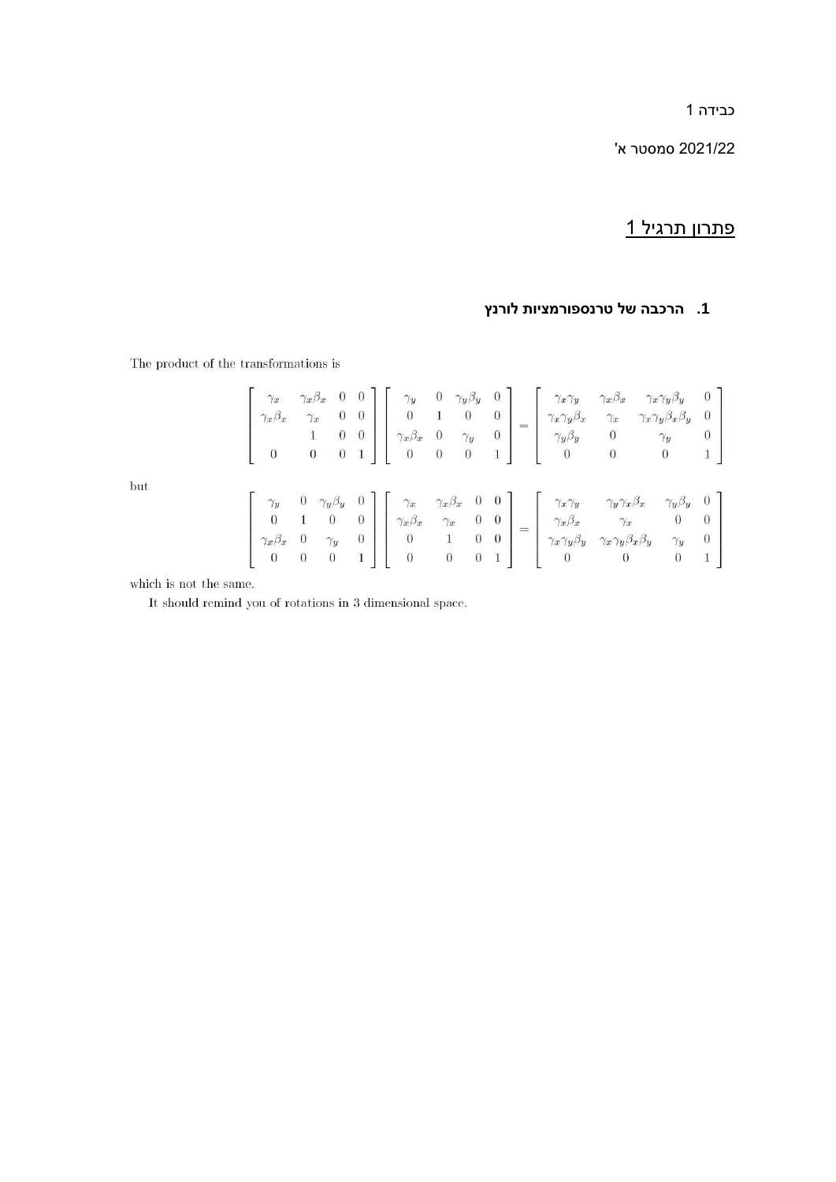כבידה 1

2021/22 סמסטר א'

# פתרון תרגיל 1

## **.1 הרכבה של טרנספורמציות לורנץ**

The product of the transformations is

| $\gamma_x$<br>$\gamma_x \beta_x$<br>$\begin{bmatrix} 1 & 0 \end{bmatrix}$ |  |  |  |  |  | $\begin{array}{ccccc} \gamma_x \beta_x & 0 & 0 \\ \gamma_x & 0 & 0 \\ 1 & 0 & 0 \\ 0 & 0 & 1 \end{array} \left[ \begin{array}{cccc} \gamma_y & 0 & \gamma_y \beta_y & 0 \\ 0 & 1 & 0 & 0 \\ \gamma_x \beta_x & 0 & \gamma_y & 0 \\ 0 & 0 & 0 & 1 \end{array} \right] = \left[ \begin{array}{cccc} \gamma_x \gamma_y & \gamma_x \beta_x & \gamma_x \gamma_y \beta_y & 0 \\ \gamma_x \gamma_y \beta_x & \gamma_x & \gamma_x \gamma_y \beta_x \beta_y & 0 \\ \gamma_y \beta_y & 0 & \gamma_y & 0 \\ 0 & 0 & $       |  |
|---------------------------------------------------------------------------|--|--|--|--|--|------------------------------------------------------------------------------------------------------------------------------------------------------------------------------------------------------------------------------------------------------------------------------------------------------------------------------------------------------------------------------------------------------------------------------------------------------------------------------------------------------------------|--|
|                                                                           |  |  |  |  |  | $\begin{array}{cccccc} \gamma_y & 0 & \gamma_y \beta_y & 0 \\ 0 & 1 & 0 & 0 \\ \gamma_x \beta_x & 0 & \gamma_y & 0 \\ 0 & 0 & 0 & 1 \end{array} \left[ \begin{array}{cccccc} \gamma_x & \gamma_x \beta_x & 0 & 0 \\ \gamma_x \beta_x & \gamma_x & 0 & 0 \\ 0 & 1 & 0 & 0 \\ 0 & 0 & 0 & 1 \end{array} \right] = \left[ \begin{array}{cccccc} \gamma_x \gamma_y & \gamma_y \gamma_x \beta_x & \gamma_y \beta_y & 0 \\ \gamma_x \beta_x & \gamma_x & 0 & 0 \\ \gamma_x \gamma_y \beta_y & \gamma_x \gamma_y \beta$ |  |

which is not the same.

but

It should remind you of rotations in 3 dimensional space.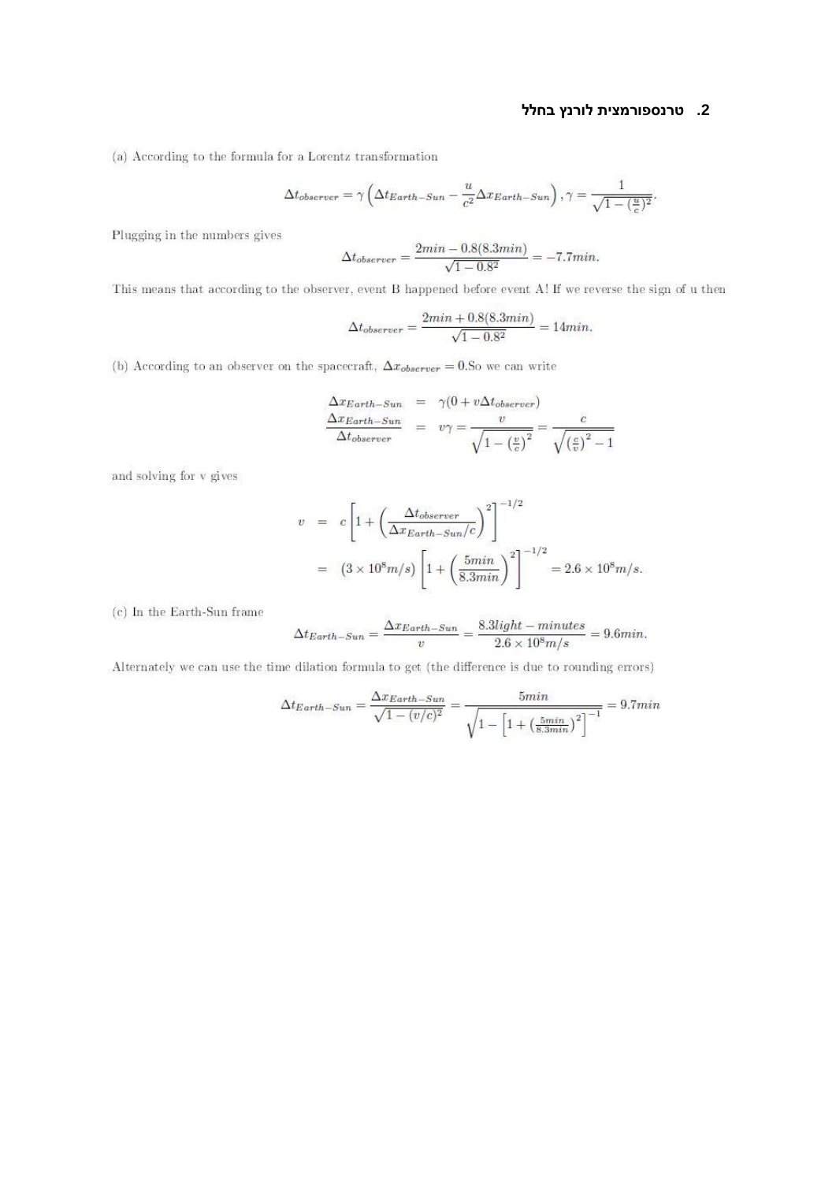### 2. טרנספורמצית לורנץ בחלל

(a) According to the formula for a Lorentz transformation

$$
\Delta t_{observer} = \gamma \left( \Delta t_{Earth-Sun} - \frac{u}{c^2} \Delta x_{Earth-Sun} \right), \gamma = \frac{1}{\sqrt{1 - (\frac{u}{c})^2}}.
$$

Plugging in the numbers gives

$$
\Delta t_{observer} = \frac{2min - 0.8(8.3min)}{\sqrt{1 - 0.8^2}} = -7.7min.
$$

This means that according to the observer, event B happened before event A! If we reverse the sign of u then

$$
\Delta t_{observer} = \frac{2min + 0.8(8.3min)}{\sqrt{1 - 0.8^2}} = 14min.
$$

(b) According to an observer on the spacecraft,  $\Delta x_{\text{observer}} = 0.5$  we can write

$$
\frac{\Delta x_{Earth-Sun}}{\Delta t_{observer}} = \gamma (0 + v \Delta t_{observer})
$$
\n
$$
\frac{\Delta x_{Earth-Sun}}{\Delta t_{observer}} = v\gamma = \frac{v}{\sqrt{1 - (\frac{v}{c})^2}} = \frac{c}{\sqrt{(\frac{c}{v})^2 - 1}}
$$

and solving for v gives

$$
v = c \left[ 1 + \left( \frac{\Delta t_{observer}}{\Delta x_{Earth-Sun}/c} \right)^2 \right]^{-1/2}
$$
  
= 
$$
(3 \times 10^8 m/s) \left[ 1 + \left( \frac{5min}{8.3min} \right)^2 \right]^{-1/2} = 2.6 \times 10^8 m/s.
$$

(c) In the Earth-Sun frame

$$
\Delta t_{Earth-Sun} = \frac{\Delta x_{Earth-Sun}}{v} = \frac{8.3 light-minutes}{2.6 \times 10^8 m/s} = 9.6 min.
$$

Alternately we can use the time dilation formula to get (the difference is due to rounding errors)

$$
\Delta t_{Earth-Sun} = \frac{\Delta x_{Earth-Sun}}{\sqrt{1 - (v/c)^2}} = \frac{5min}{\sqrt{1 - \left[1 + \left(\frac{5min}{8.3min}\right)^2\right]^{-1}}} = 9.7min
$$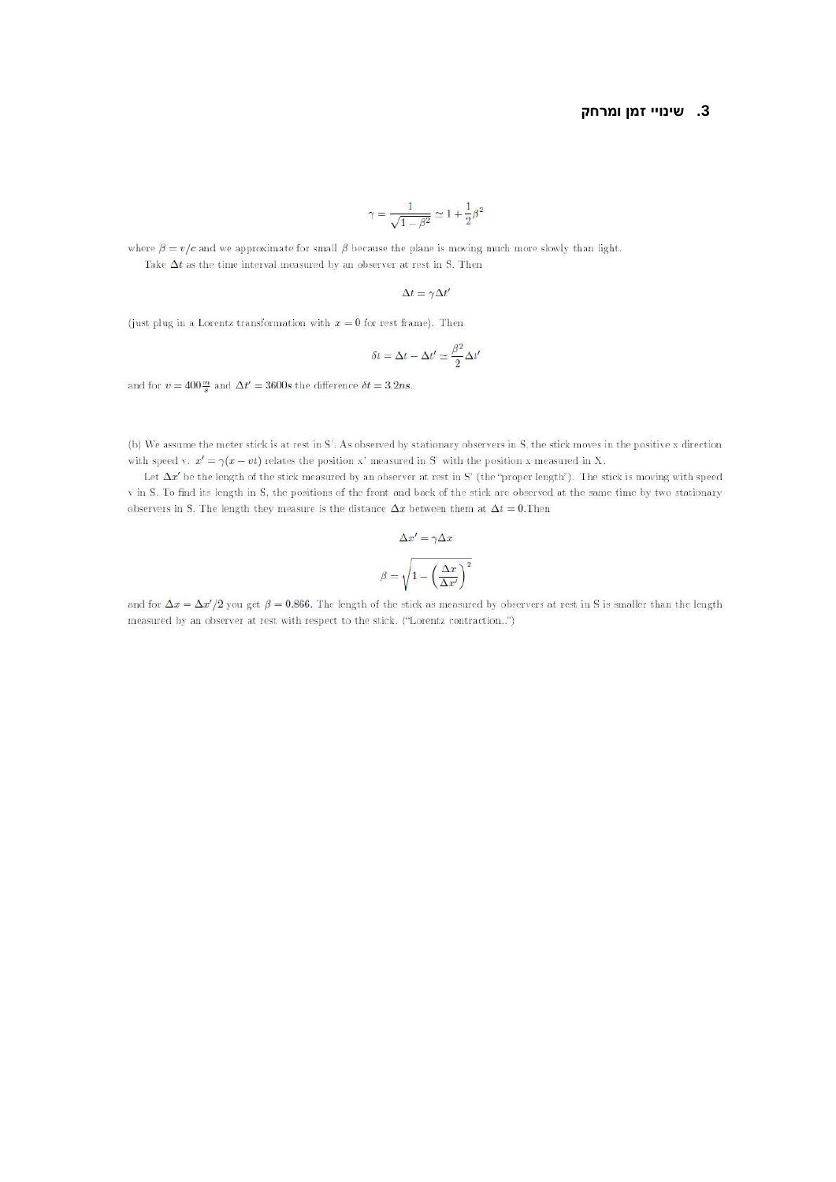#### 3. שינויי זמן ומרחק

$$
\gamma = \frac{1}{\sqrt{1-\beta^2}} \simeq 1 + \frac{1}{2} \beta^2
$$

where  $\beta = v/c$  and we approximate for small  $\beta$  because the plane is moving much more slowly than light. Take  $\Delta t$  as the time interval measured by an observer at rest in S. Then

$$
\Delta t = \gamma \Delta t'
$$

(just plug in a Lorentz transformation with  $x = 0$  for rest frame). Then

$$
\delta t = \Delta t - \Delta t' \simeq \frac{\beta^2}{2} \Delta t'
$$

and for  $v = 400 \frac{m}{s}$  and  $\Delta t' = 3600s$  the difference  $\delta t = 3.2ns$ .

(b) We assume the meter stick is at rest in S'. As observed by stationary observers in S, the stick moves in the positive x direction with speed v.  $x' = \gamma(x - vt)$  relates the position x' measured in S' with the position x measured in X.

Let  $\Delta x'$  be the length of the stick measured by an observer at rest in S' (the "proper length"). The stick is moving with speed v in S. To find its length in S, the positions of the front and back of the stick are observed at the same time by two stationary observers in S. The length they measure is the distance  $\Delta x$  between them at  $\Delta t = 0$ . Then

$$
\Delta x' = \gamma \Delta x
$$

$$
\beta = \sqrt{1 - \left(\frac{\Delta x}{\Delta x'}\right)^2}
$$

and for  $\Delta x = \Delta x'/2$  you get  $\beta = 0.866$ . The length of the stick as measured by observers at rest in S is smaller than the length measured by an observer at rest with respect to the stick. ("Lorentz contraction..")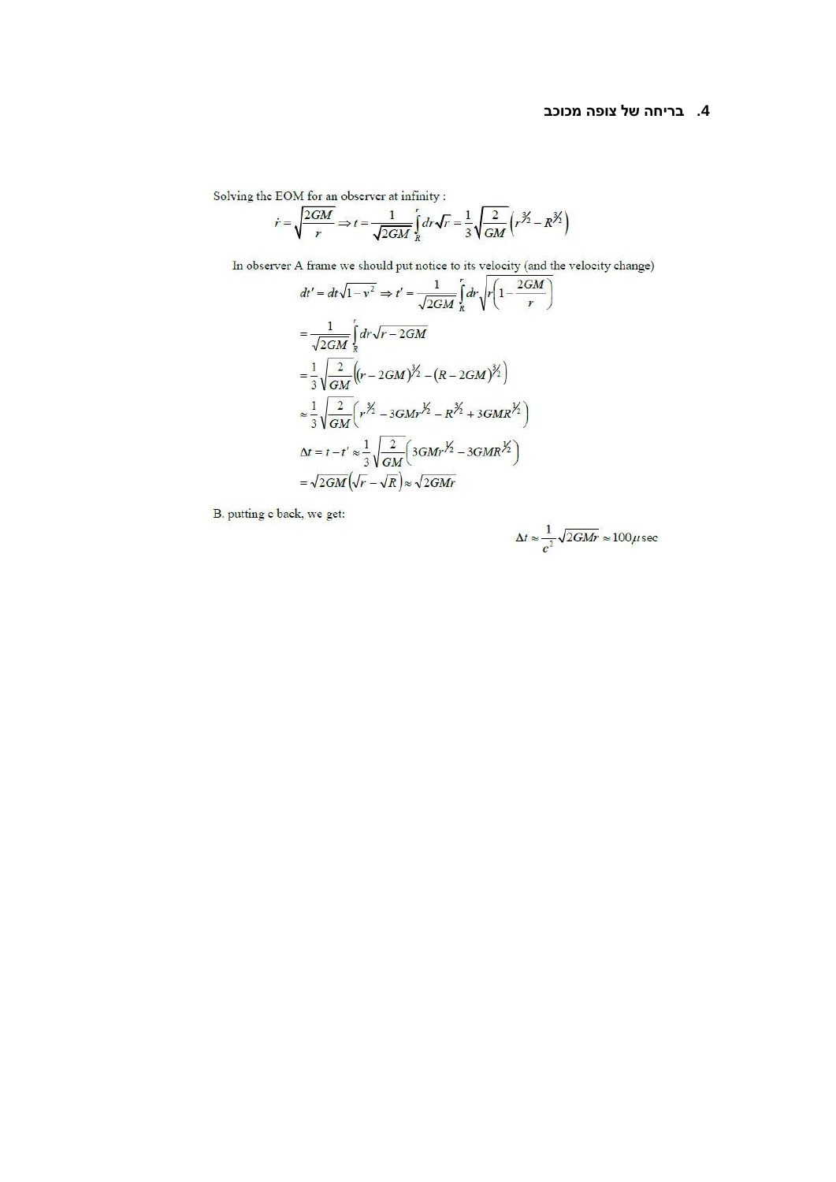#### 4. בריחה של צופה מכוכב

Solving the EOM for an observer at infinity:

$$
\dot{r} = \sqrt{\frac{2GM}{r}} \Rightarrow t = \frac{1}{\sqrt{2GM}} \int_{R}^{r} dr \sqrt{r} = \frac{1}{3} \sqrt{\frac{2}{GM}} \left( r^{\frac{3}{2}} - R^{\frac{3}{2}} \right)
$$

In observer A frame we should put notice to its velocity (and the velocity change)

$$
dt' = dt\sqrt{1 - v^2} \Rightarrow t' = \frac{1}{\sqrt{2GM}} \int_R dr \sqrt{r \left(1 - \frac{2GM}{r}\right)}
$$
  
\n
$$
= \frac{1}{\sqrt{2GM}} \int_R dr \sqrt{r - 2GM}
$$
  
\n
$$
= \frac{1}{3} \sqrt{\frac{2}{GM}} \left((r - 2GM)^{3/2} - (R - 2GM)^{3/2}\right)
$$
  
\n
$$
\approx \frac{1}{3} \sqrt{\frac{2}{GM}} \left(r^{3/2} - 3GMr^{3/2} - R^{3/2} + 3GMR^{3/2}\right)
$$
  
\n
$$
\Delta t = t - t' \approx \frac{1}{3} \sqrt{\frac{2}{GM}} \left(3GMr^{3/2} - 3GMR^{3/2}\right)
$$
  
\n
$$
= \sqrt{2GM} \left(\sqrt{r} - \sqrt{R}\right) \approx \sqrt{2GMr}
$$

B. putting c back, we get:

$$
\Delta t \approx \frac{1}{c^2} \sqrt{2GMr} \approx 100 \mu \text{sec}
$$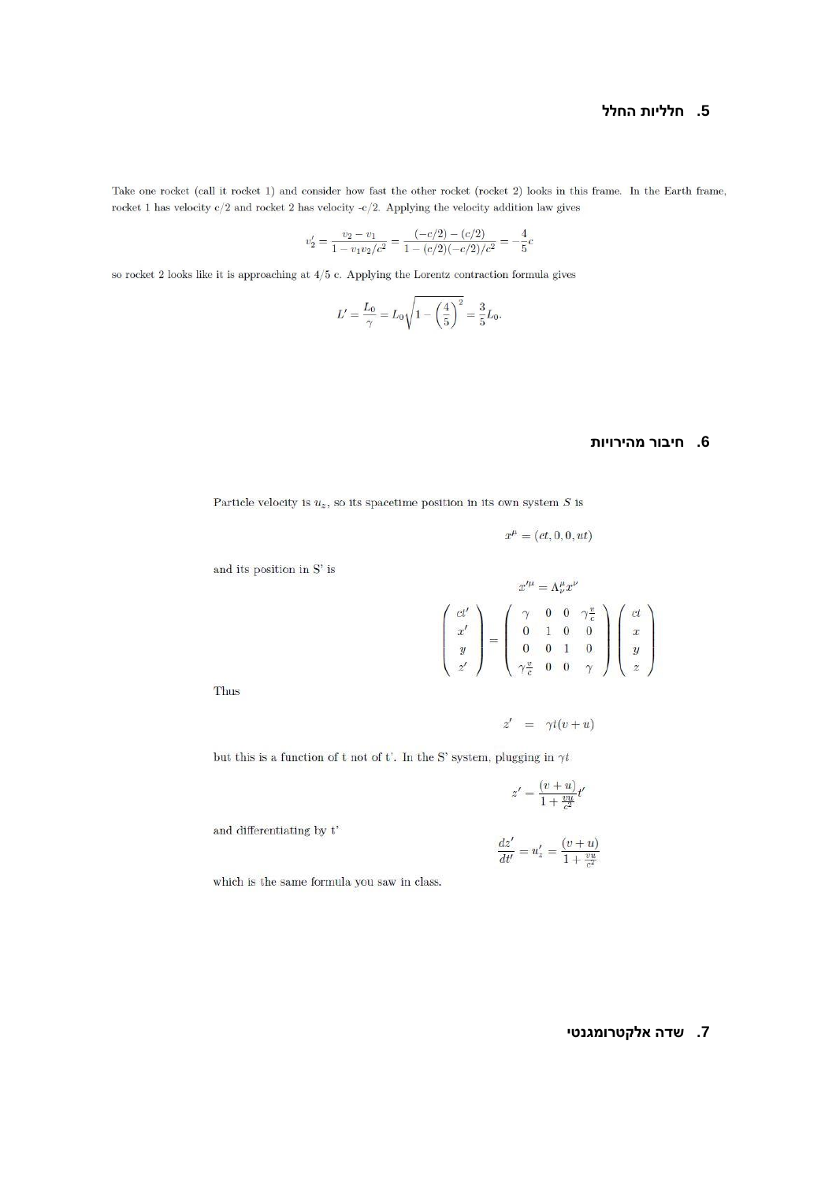#### 5. חלליות החלל

Take one rocket (call it rocket 1) and consider how fast the other rocket (rocket 2) looks in this frame. In the Earth frame, rocket 1 has velocity  $c/2$  and rocket 2 has velocity -c/2. Applying the velocity addition law gives

$$
v_2' = \frac{v_2 - v_1}{1 - v_1 v_2/c^2} = \frac{(-c/2) - (c/2)}{1 - (c/2)(-c/2)/c^2} = -\frac{4}{5}c
$$

so rocket 2 looks like it is approaching at  $4/5$  c. Applying the Lorentz contraction formula gives

$$
L' = \frac{L_0}{\gamma} = L_0 \sqrt{1 - \left(\frac{4}{5}\right)^2} = \frac{3}{5}L_0.
$$

### 6. חיבור מהירויות

Particle velocity is  $u_z$ , so its spacetime position in its own system S is

$$
x^{\mu} = (ct, 0, 0, ut)
$$

and its position in  $S'$  is

$$
\begin{pmatrix} ct' \\ x' \\ y \\ z' \end{pmatrix} = \begin{pmatrix} \gamma & 0 & 0 & \gamma \frac{v}{c} \\ 0 & 1 & 0 & 0 \\ 0 & 0 & 1 & 0 \\ \gamma \frac{v}{c} & 0 & 0 & \gamma \end{pmatrix} \begin{pmatrix} ct \\ x \\ y \\ z \end{pmatrix}
$$

Thus

$$
z' \;\; = \;\; \gamma t(v+u)
$$

but this is a function of t not of t'. In the S' system, plugging in  $\gamma t$ 

$$
z'=\frac{(v+u)}{1+\frac{vu}{c^2}}t'
$$

and differentiating by  $t'$ 

$$
\frac{dz'}{dt'} = u'_z = \frac{(v+u)}{1+\frac{vu}{c^2}}
$$

which is the same formula you saw in class.

### 7. שדה אלקטרומגנטי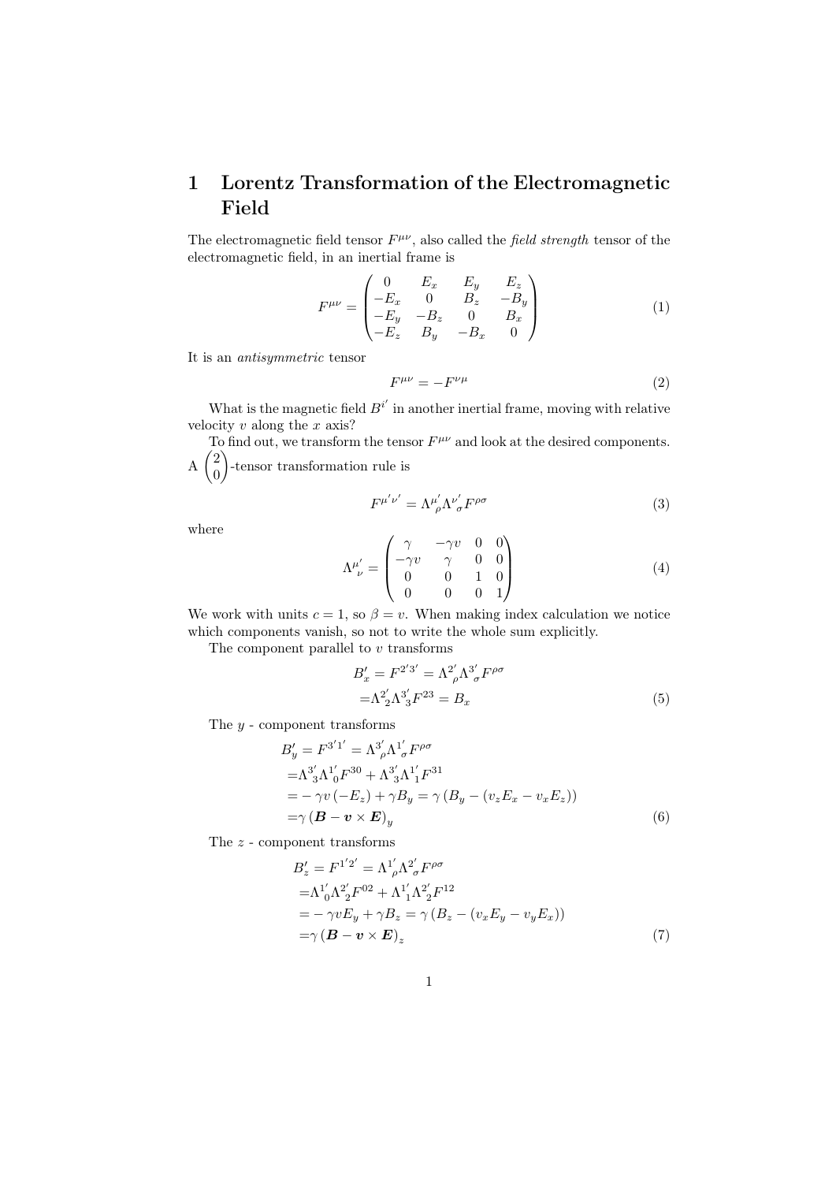## 1 Lorentz Transformation of the Electromagnetic Field

The electromagnetic field tensor  $F^{\mu\nu}$ , also called the field strength tensor of the electromagnetic field, in an inertial frame is

$$
F^{\mu\nu} = \begin{pmatrix} 0 & E_x & E_y & E_z \\ -E_x & 0 & B_z & -B_y \\ -E_y & -B_z & 0 & B_x \\ -E_z & B_y & -B_x & 0 \end{pmatrix}
$$
 (1)

It is an antisymmetric tensor

$$
F^{\mu\nu} = -F^{\nu\mu} \tag{2}
$$

What is the magnetic field  $B^{i'}$  in another inertial frame, moving with relative velocity  $v$  along the  $x$  axis?

To find out, we transform the tensor  $F^{\mu\nu}$  and look at the desired components.  $\frac{1}{2}$ 0 -tensor transformation rule is

$$
F^{\mu'\nu'} = \Lambda^{\mu'}_{\ \rho} \Lambda^{\nu'}_{\ \sigma} F^{\rho\sigma} \tag{3}
$$

where

$$
\Lambda^{\mu'}_{\ \nu} = \begin{pmatrix} \gamma & -\gamma v & 0 & 0 \\ -\gamma v & \gamma & 0 & 0 \\ 0 & 0 & 1 & 0 \\ 0 & 0 & 0 & 1 \end{pmatrix} \tag{4}
$$

We work with units  $c = 1$ , so  $\beta = v$ . When making index calculation we notice which components vanish, so not to write the whole sum explicitly.

The component parallel to  $v$  transforms

$$
B'_{x} = F^{2'3'} = \Lambda^{2'}_{\rho} \Lambda^{3'}_{\sigma} F^{\rho \sigma}
$$
  
=\Lambda^{2'}\_{2} \Lambda^{3'}\_{3} F^{23} = B\_{x} (5)

The  $y$  - component transforms

$$
B'_{y} = F^{3'1'} = \Lambda^{3'}_{\rho} \Lambda^{1'}_{\sigma} F^{\rho \sigma}
$$
  
\n
$$
= \Lambda^{3'}_{3} \Lambda^{1'}_{0} F^{30} + \Lambda^{3'}_{3} \Lambda^{1'}_{1} F^{31}
$$
  
\n
$$
= -\gamma v (-E_{z}) + \gamma B_{y} = \gamma (B_{y} - (v_{z} E_{x} - v_{x} E_{z}))
$$
  
\n
$$
= \gamma (B - v \times E)_{y}
$$
\n(6)

The z - component transforms

$$
B'_{z} = F^{1'2'} = \Lambda^{1'}_{\rho} \Lambda^{2'}_{\sigma} F^{\rho \sigma}
$$
  
=  $\Lambda^{1'}_{0} \Lambda^{2'}_{2} F^{02} + \Lambda^{1'}_{1} \Lambda^{2'}_{2} F^{12}$   
=  $-\gamma v E_{y} + \gamma B_{z} = \gamma (B_{z} - (v_{x} E_{y} - v_{y} E_{x}))$   
=  $\gamma (\mathbf{B} - \mathbf{v} \times \mathbf{E})_{z}$  (7)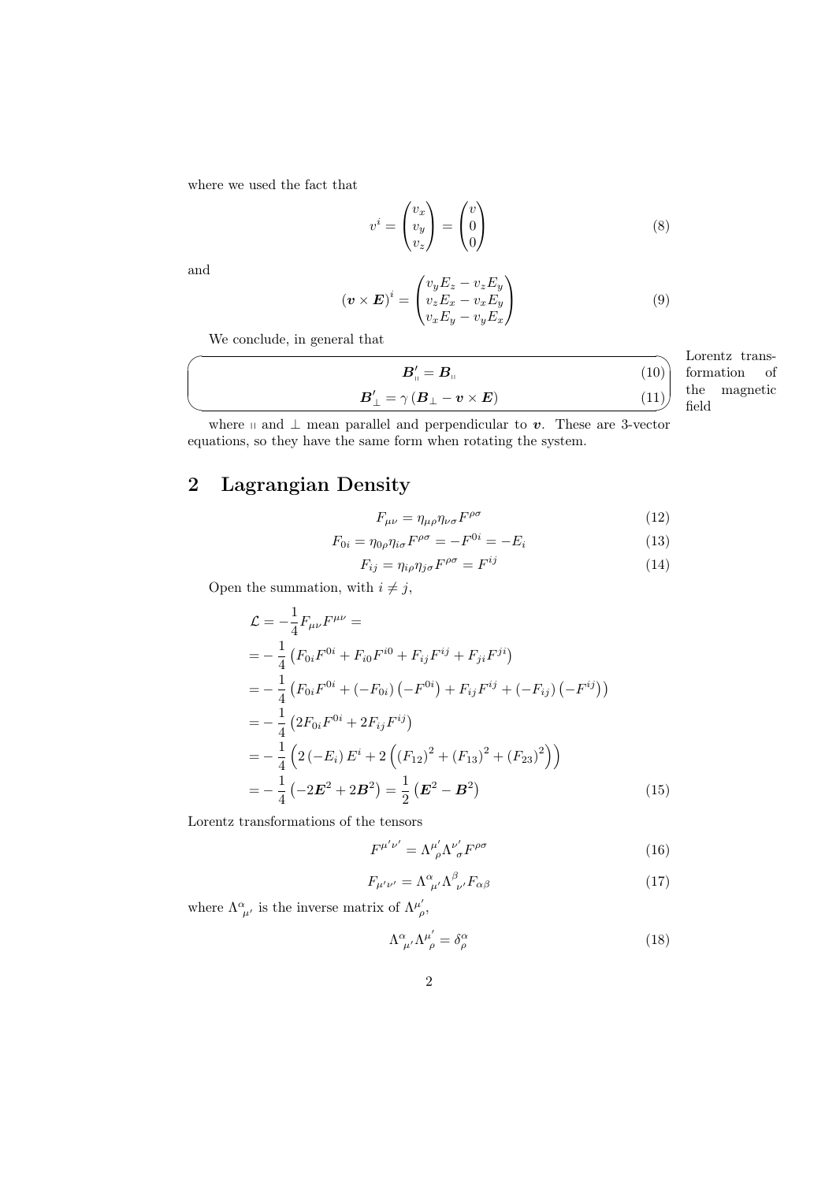where we used the fact that

$$
v^i = \begin{pmatrix} v_x \\ v_y \\ v_z \end{pmatrix} = \begin{pmatrix} v \\ 0 \\ 0 \end{pmatrix} \tag{8}
$$

and

$$
(\boldsymbol{v} \times \boldsymbol{E})^i = \begin{pmatrix} v_y E_z - v_z E_y \\ v_z E_x - v_x E_y \\ v_x E_y - v_y E_x \end{pmatrix}
$$
(9)

We conclude, in general that

| $\boldsymbol{B}_{{\shortparallel}}'=\boldsymbol{B}_{{\shortparallel}}$                                           | 10 |
|------------------------------------------------------------------------------------------------------------------|----|
| $\boldsymbol{B}_\perp' = \gamma \left( \boldsymbol{B}_\perp - \boldsymbol{v} \times \boldsymbol{E} \right)^\top$ |    |

Lorentz trans-✑ field formation of the magnetic

where  $\parallel$  and  $\perp$  mean parallel and perpendicular to v. These are 3-vector equations, so they have the same form when rotating the system.

# 2 Lagrangian Density

$$
F_{\mu\nu} = \eta_{\mu\rho}\eta_{\nu\sigma}F^{\rho\sigma} \tag{12}
$$

$$
F_{0i} = \eta_{0\rho}\eta_{i\sigma}F^{\rho\sigma} = -F^{0i} = -E_i
$$
\n(13)

$$
F_{ij} = \eta_{i\rho}\eta_{j\sigma}F^{\rho\sigma} = F^{ij} \tag{14}
$$

Open the summation, with  $i\neq j,$ 

$$
\mathcal{L} = -\frac{1}{4} F_{\mu\nu} F^{\mu\nu} =
$$
\n
$$
= -\frac{1}{4} \left( F_{0i} F^{0i} + F_{i0} F^{i0} + F_{ij} F^{ij} + F_{ji} F^{ji} \right)
$$
\n
$$
= -\frac{1}{4} \left( F_{0i} F^{0i} + (-F_{0i}) \left( -F^{0i} \right) + F_{ij} F^{ij} + (-F_{ij}) \left( -F^{ij} \right) \right)
$$
\n
$$
= -\frac{1}{4} \left( 2F_{0i} F^{0i} + 2F_{ij} F^{ij} \right)
$$
\n
$$
= -\frac{1}{4} \left( 2 \left( -E_i \right) E^i + 2 \left( \left( F_{12} \right)^2 + \left( F_{13} \right)^2 + \left( F_{23} \right)^2 \right) \right)
$$
\n
$$
= -\frac{1}{4} \left( -2E^2 + 2B^2 \right) = \frac{1}{2} \left( E^2 - B^2 \right) \tag{15}
$$

Lorentz transformations of the tensors

$$
F^{\mu'\nu'} = \Lambda^{\mu'}_{\ \rho} \Lambda^{\nu'}_{\ \sigma} F^{\rho\sigma} \tag{16}
$$

$$
F_{\mu'\nu'} = \Lambda^{\alpha}{}_{\mu'} \Lambda^{\beta}{}_{\nu'} F_{\alpha\beta} \tag{17}
$$

where  $\Lambda^{\alpha}_{\mu'}$  is the inverse matrix of  $\Lambda^{\mu'}_{\rho}$ ,

$$
\Lambda^{\alpha}_{\ \mu'} \Lambda^{\mu'}_{\ \rho} = \delta^{\alpha}_{\rho} \tag{18}
$$